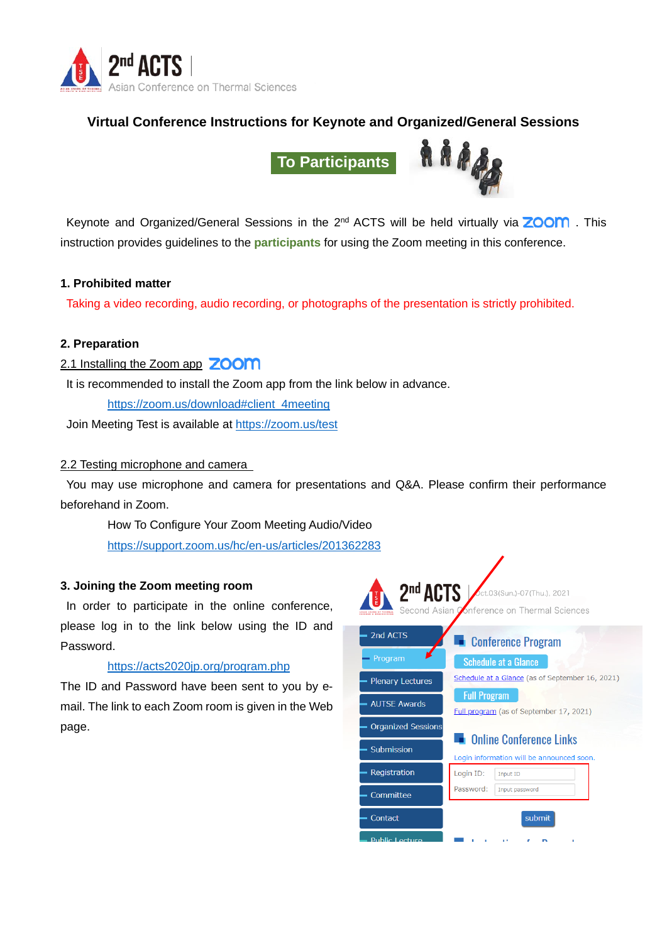

# **Virtual Conference Instructions for Keynote and Organized/General Sessions**

**To Participants**



Keynote and Organized/General Sessions in the  $2^{nd}$  ACTS will be held virtually via **ZOOM**. This instruction provides guidelines to the **participants** for using the Zoom meeting in this conference.

#### **1. Prohibited matter**

Taking a video recording, audio recording, or photographs of the presentation is strictly prohibited.

#### **2. Preparation**

# 2.1 Installing the Zoom app **ZOOM**

It is recommended to install the Zoom app from the link below in advance.

https://zoom.us/download#client\_4meeting

Join Meeting Test is available at https://zoom.us/test

#### 2.2 Testing microphone and camera

You may use microphone and camera for presentations and Q&A. Please confirm their performance beforehand in Zoom.

How To Configure Your Zoom Meeting Audio/Video https://support.zoom.us/hc/en-us/articles/201362283

#### **3. Joining the Zoom meeting room**

In order to participate in the online conference, please log in to the link below using the ID and Password.

## https://acts2020jp.org/program.php

The ID and Password have been sent to you by email. The link to each Zoom room is given in the Web page.

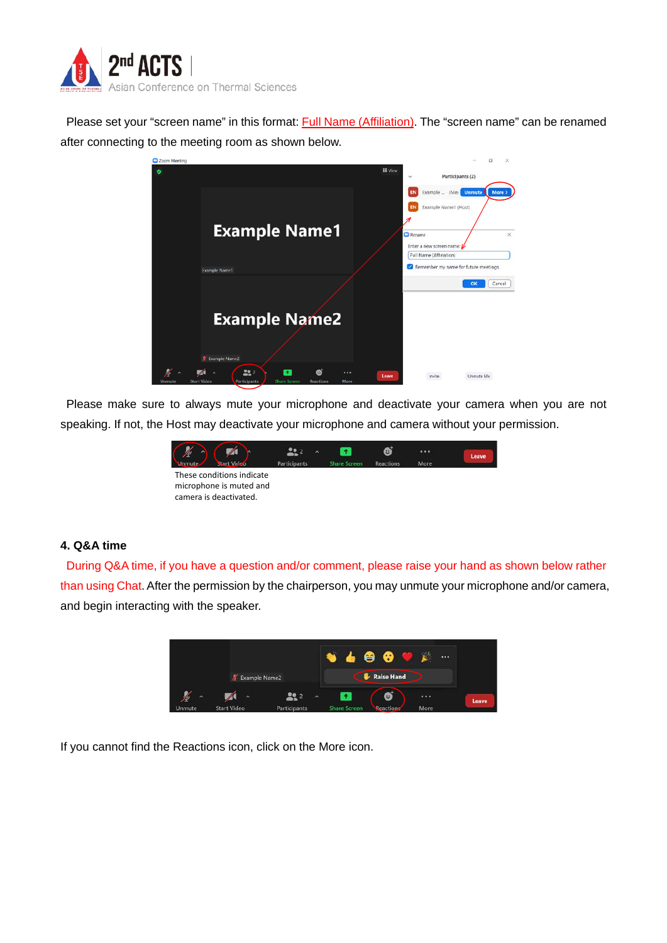

Please set your "screen name" in this format: Full Name (Affiliation). The "screen name" can be renamed after connecting to the meeting room as shown below.



Please make sure to always mute your microphone and deactivate your camera when you are not speaking. If not, the Host may deactivate your microphone and camera without your permission.



## **4. Q&A time**

During Q&A time, if you have a question and/or comment, please raise your hand as shown below rather than using Chat. After the permission by the chairperson, you may unmute your microphone and/or camera, and begin interacting with the speaker.



If you cannot find the Reactions icon, click on the More icon.